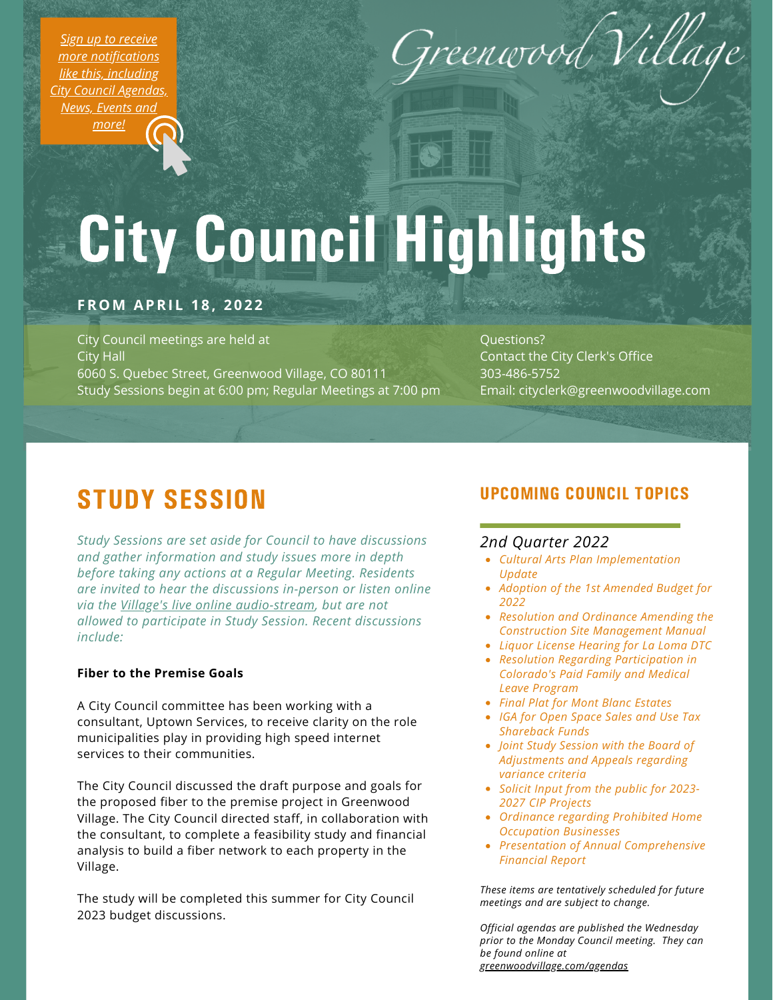*Sign up to receive more [notifications](https://greenwoodvillage.com/list.aspx) like this, including City Council Agendas, News, Events and more!*



# City Council Highlights

# **FROM APRI L 1 8 , 2 0 2 2**

City Council meetings are held at City Hall 6060 S. Quebec Street, Greenwood Village, CO 80111 Study Sessions begin at 6:00 pm; Regular Meetings at 7:00 pm

Questions? Contact the City Clerk's Office 303-486-5752 Email: cityclerk@greenwoodvillage.com

# STUDY SESSION

*Study Sessions are set aside for Council to have discussions and gather information and study issues more in depth before taking any actions at a Regular Meeting. Residents are invited to hear the discussions in-person or listen online via the Village's live online [audio-stream](https://greenwoodvillage.com/2390/Agendas-Minutes-Webcasts), but are not allowed to participate in Study Session. Recent discussions include:*

#### **Fiber to the Premise Goals**

A City Council committee has been working with a consultant, Uptown Services, to receive clarity on the role municipalities play in providing high speed internet services to their communities.

The City Council discussed the draft purpose and goals for the proposed fiber to the premise project in Greenwood Village. The City Council directed staff, in collaboration with the consultant, to complete a feasibility study and financial analysis to build a fiber network to each property in the Village.

The study will be completed this summer for City Council 2023 budget discussions.

# UPCOMING COUNCIL TOPICS

## *2nd Quarter 2022*

- *Cultural Arts Plan Implementation Update*
- *Adoption of the 1st Amended Budget for 2022*
- *Resolution and Ordinance Amending the Construction Site Management Manual*
- *Liquor License Hearing for La Loma DTC*
- *Resolution Regarding Participation in Colorado's Paid Family and Medical Leave Program*
- *Final Plat for Mont Blanc Estates*
- *IGA for Open Space Sales and Use Tax Shareback Funds*
- *Joint Study Session with the Board of Adjustments and Appeals regarding variance criteria*
- *Solicit Input from the public for 2023- 2027 CIP Projects*
- *Ordinance regarding Prohibited Home Occupation Businesses*
- *Presentation of Annual Comprehensive Financial Report*

*These items are tentatively scheduled for future meetings and are subject to change.*

*Official agendas are published the Wednesday prior to the Monday Council meeting. They can be found online at [greenwoodvillage.com/agendas](http://greenwoodvillage.com/agendas)*